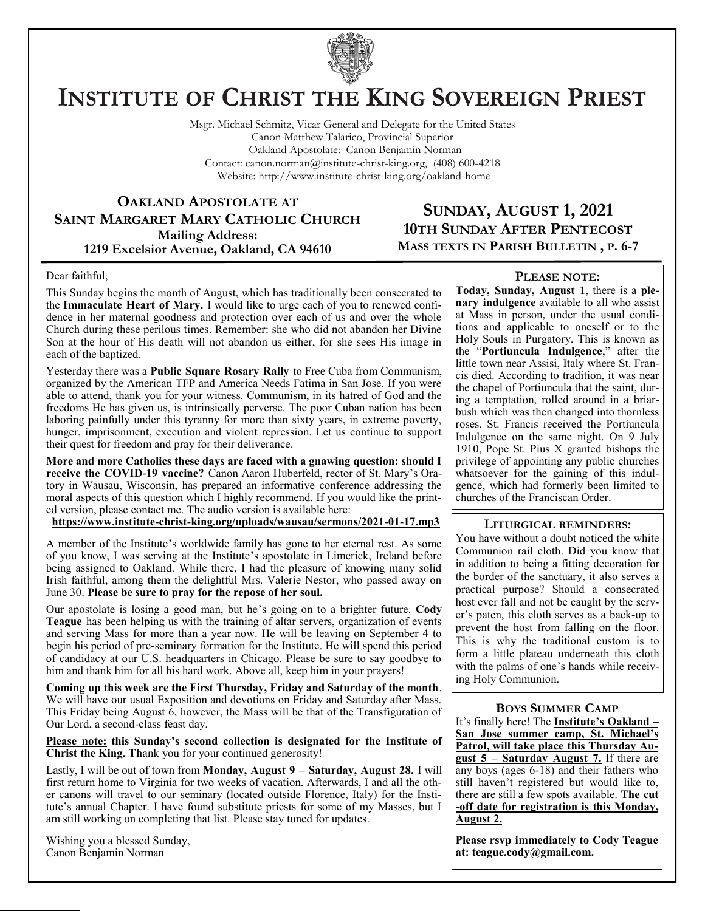

# **INSTITUTE OF CHRIST THE KING SOVEREIGN PRIEST**

Msgr. Michael Schmitz, Vicar General and Delegate for the United States Canon Matthew Talarico, Provincial Superior Oakland Apostolate: Canon Benjamin Norman Contact: canon.norman@institute-christ-king.org, (408) 600-4218 Website: http://www.institute-christ-king.org/oakland-home

**OAKLAND APOSTOLATE AT SAINT MARGARET MARY CATHOLIC CHURCH Mailing Address: 1219 Excelsior Avenue, Oakland, CA 94610**

# **SUNDAY, AUGUST 1, 2021 10TH SUNDAY AFTER PENTECOST MASS TEXTS IN PARISH BULLETIN , P. 6-7**

#### Dear faithful,

This Sunday begins the month of August, which has traditionally been consecrated to the **Immaculate Heart of Mary.** I would like to urge each of you to renewed confidence in her maternal goodness and protection over each of us and over the whole Church during these perilous times. Remember: she who did not abandon her Divine Son at the hour of His death will not abandon us either, for she sees His image in each of the baptized.

Yesterday there was a **Public Square Rosary Rally** to Free Cuba from Communism, organized by the American TFP and America Needs Fatima in San Jose. If you were able to attend, thank you for your witness. Communism, in its hatred of God and the freedoms He has given us, is intrinsically perverse. The poor Cuban nation has been laboring painfully under this tyranny for more than sixty years, in extreme poverty, hunger, imprisonment, execution and violent repression. Let us continue to support their quest for freedom and pray for their deliverance.

**More and more Catholics these days are faced with a gnawing question: should I receive the COVID-19 vaccine?** Canon Aaron Huberfeld, rector of St. Mary's Oratory in Wausau, Wisconsin, has prepared an informative conference addressing the moral aspects of this question which I highly recommend. If you would like the printed version, please contact me. The audio version is available here:

**<https://www.institute-christ-king.org/uploads/wausau/sermons/2021-01-17.mp3>**

A member of the Institute's worldwide family has gone to her eternal rest. As some of you know, I was serving at the Institute's apostolate in Limerick, Ireland before being assigned to Oakland. While there, I had the pleasure of knowing many solid Irish faithful, among them the delightful Mrs. Valerie Nestor, who passed away on June 30. **Please be sure to pray for the repose of her soul.**

Our apostolate is losing a good man, but he's going on to a brighter future. **Cody Teague** has been helping us with the training of altar servers, organization of events and serving Mass for more than a year now. He will be leaving on September 4 to begin his period of pre-seminary formation for the Institute. He will spend this period of candidacy at our U.S. headquarters in Chicago. Please be sure to say goodbye to him and thank him for all his hard work. Above all, keep him in your prayers!

**Coming up this week are the First Thursday, Friday and Saturday of the month**. We will have our usual Exposition and devotions on Friday and Saturday after Mass. This Friday being August 6, however, the Mass will be that of the Transfiguration of Our Lord, a second-class feast day.

**Please note: this Sunday's second collection is designated for the Institute of Christ the King. Th**ank you for your continued generosity!

Lastly, I will be out of town from **Monday, August 9 – Saturday, August 28.** I will first return home to Virginia for two weeks of vacation. Afterwards, I and all the other canons will travel to our seminary (located outside Florence, Italy) for the Institute's annual Chapter. I have found substitute priests for some of my Masses, but I am still working on completing that list. Please stay tuned for updates.

Wishing you a blessed Sunday, Canon Benjamin Norman

### **PLEASE NOTE:**

**Today, Sunday, August 1**, there is a **plenary indulgence** available to all who assist at Mass in person, under the usual conditions and applicable to oneself or to the Holy Souls in Purgatory. This is known as the "**Portiuncula Indulgence**," after the little town near Assisi, Italy where St. Francis died. According to tradition, it was near the chapel of Portiuncula that the saint, during a temptation, rolled around in a briarbush which was then changed into thornless roses. St. Francis received the Portiuncula Indulgence on the same night. On 9 July 1910, Pope St. Pius X granted bishops the privilege of appointing any public churches whatsoever for the gaining of this indulgence, which had formerly been limited to churches of the Franciscan Order.

#### **LITURGICAL REMINDERS:**

You have without a doubt noticed the white Communion rail cloth. Did you know that in addition to being a fitting decoration for the border of the sanctuary, it also serves a practical purpose? Should a consecrated host ever fall and not be caught by the server's paten, this cloth serves as a back-up to prevent the host from falling on the floor. This is why the traditional custom is to form a little plateau underneath this cloth with the palms of one's hands while receiving Holy Communion.

#### **BOYS SUMMER CAMP**

It's finally here! The **Institute's Oakland – San Jose summer camp, St. Michael's Patrol, will take place this Thursday August 5 – Saturday August 7.** If there are any boys (ages 6-18) and their fathers who still haven't registered but would like to, there are still a few spots available. **The cut -off date for registration is this Monday, August 2.**

**Please rsvp immediately to Cody Teague at: [teague.cody@gmail.com.](mailto:teague.cody@gmail.com)**